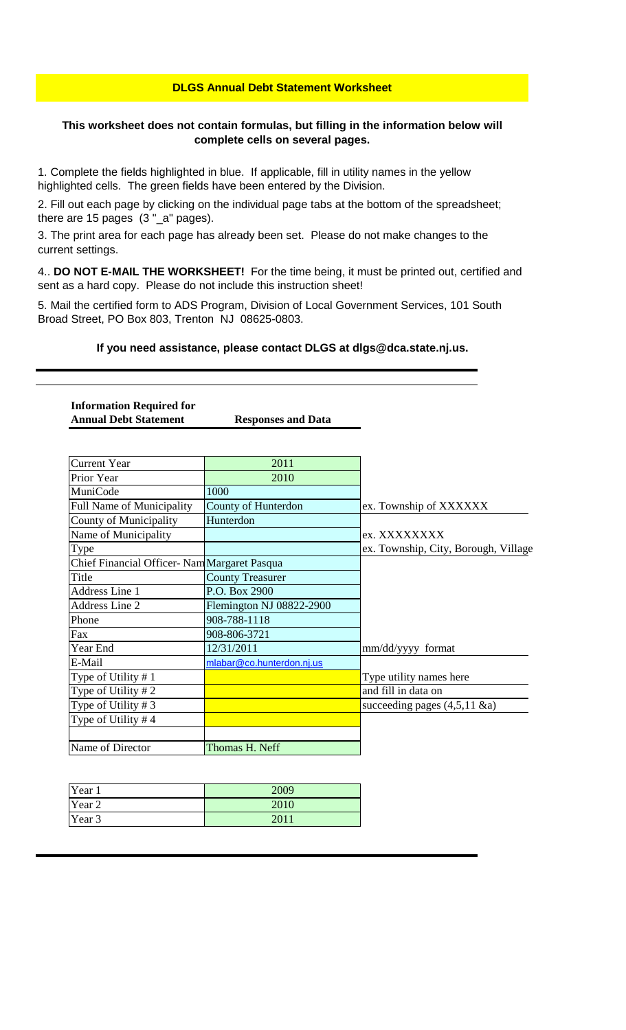#### **DLGS Annual Debt Statement Worksheet**

#### **This worksheet does not contain formulas, but filling in the information below will complete cells on several pages.**

1. Complete the fields highlighted in blue. If applicable, fill in utility names in the yellow highlighted cells. The green fields have been entered by the Division.

2. Fill out each page by clicking on the individual page tabs at the bottom of the spreadsheet; there are 15 pages (3 "\_a" pages).

3. The print area for each page has already been set. Please do not make changes to the current settings.

4.. **DO NOT E-MAIL THE WORKSHEET!** For the time being, it must be printed out, certified and sent as a hard copy. Please do not include this instruction sheet!

5. Mail the certified form to ADS Program, Division of Local Government Services, 101 South Broad Street, PO Box 803, Trenton NJ 08625-0803.

#### **If you need assistance, please contact DLGS at dlgs@dca.state.nj.us.**

**Information Required for Annual Debt Statement Responses and Data**

| <b>Current Year</b>                          | 2011                      |                                      |
|----------------------------------------------|---------------------------|--------------------------------------|
| Prior Year                                   | 2010                      |                                      |
| MuniCode                                     | 1000                      |                                      |
| <b>Full Name of Municipality</b>             | County of Hunterdon       | ex. Township of XXXXXX               |
| County of Municipality                       | Hunterdon                 |                                      |
| Name of Municipality                         |                           | ex. XXXXXXXX                         |
| Type                                         |                           | ex. Township, City, Borough, Village |
| Chief Financial Officer- Nam Margaret Pasqua |                           |                                      |
| Title                                        | <b>County Treasurer</b>   |                                      |
| Address Line 1                               | P.O. Box 2900             |                                      |
| <b>Address Line 2</b>                        | Flemington NJ 08822-2900  |                                      |
| Phone                                        | 908-788-1118              |                                      |
| Fax                                          | 908-806-3721              |                                      |
| Year End                                     | 12/31/2011                | mm/dd/yyyy format                    |
| E-Mail                                       | mlabar@co.hunterdon.nj.us |                                      |
| Type of Utility #1                           |                           | Type utility names here              |
| Type of Utility $# 2$                        |                           | and fill in data on                  |
| Type of Utility #3                           |                           | succeeding pages $(4,5,11 \& a)$     |
| Type of Utility #4                           |                           |                                      |
|                                              |                           |                                      |
| Name of Director                             | Thomas H. Neff            |                                      |

| Year 1 | 2009 |
|--------|------|
| Year 2 | 2010 |
| Year 3 | 201  |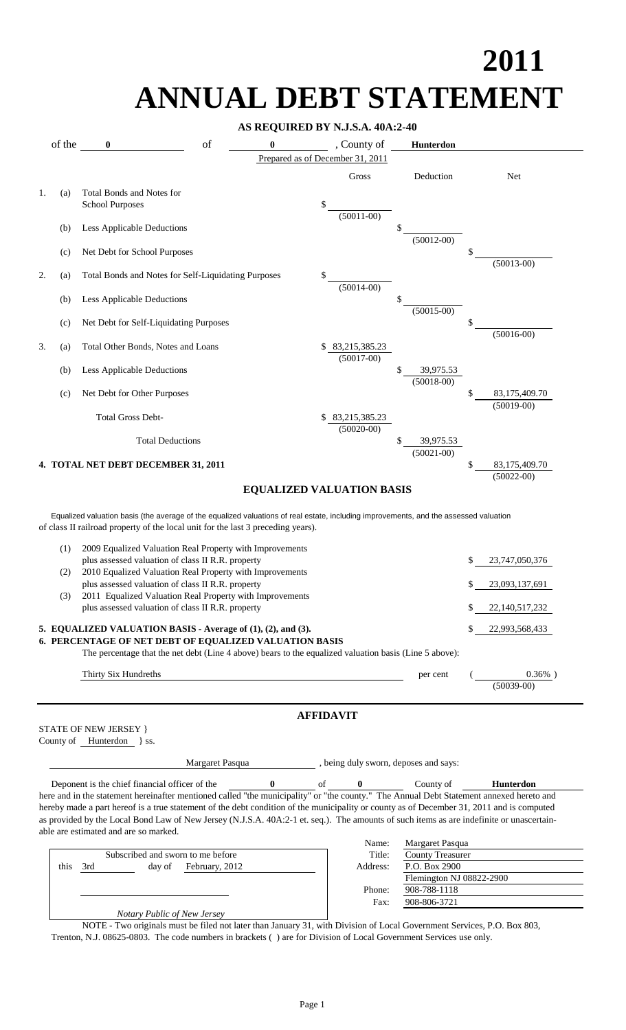# **2011 ANNUAL DEBT STATEMENT**

#### **AS REQUIRED BY N.J.S.A. 40A:2-40**

|    | of the |                                                                                                                                                                                                                           | of              | $\bf{0}$                         |                  | , County of                   | Hunterdon                             |    |                                 |
|----|--------|---------------------------------------------------------------------------------------------------------------------------------------------------------------------------------------------------------------------------|-----------------|----------------------------------|------------------|-------------------------------|---------------------------------------|----|---------------------------------|
|    |        |                                                                                                                                                                                                                           |                 | Prepared as of December 31, 2011 |                  |                               |                                       |    |                                 |
|    |        |                                                                                                                                                                                                                           |                 |                                  |                  | Gross                         | Deduction                             |    | Net                             |
| 1. | (a)    | Total Bonds and Notes for<br><b>School Purposes</b>                                                                                                                                                                       |                 |                                  | \$               | $(50011 - 00)$                |                                       |    |                                 |
|    | (b)    | Less Applicable Deductions                                                                                                                                                                                                |                 |                                  |                  |                               | \$<br>$(50012 - 00)$                  |    |                                 |
|    | (c)    | Net Debt for School Purposes                                                                                                                                                                                              |                 |                                  |                  |                               |                                       |    | $(50013-00)$                    |
| 2. | (a)    | Total Bonds and Notes for Self-Liquidating Purposes                                                                                                                                                                       |                 |                                  | \$               | $(50014-00)$                  |                                       |    |                                 |
|    | (b)    | Less Applicable Deductions                                                                                                                                                                                                |                 |                                  |                  |                               | \$<br>$(50015-00)$                    |    |                                 |
|    | (c)    | Net Debt for Self-Liquidating Purposes                                                                                                                                                                                    |                 |                                  |                  |                               |                                       |    | $(50016-00)$                    |
| 3. | (a)    | Total Other Bonds, Notes and Loans                                                                                                                                                                                        |                 |                                  | S.               | 83,215,385.23<br>$(50017-00)$ |                                       |    |                                 |
|    | (b)    | Less Applicable Deductions                                                                                                                                                                                                |                 |                                  |                  |                               | 39,975.53<br>$(50018-00)$             |    |                                 |
|    | (c)    | Net Debt for Other Purposes                                                                                                                                                                                               |                 |                                  |                  |                               |                                       |    | 83,175,409.70<br>$(50019-00)$   |
|    |        | <b>Total Gross Debt-</b>                                                                                                                                                                                                  |                 |                                  |                  | 83,215,385.23<br>$(50020-00)$ |                                       |    |                                 |
|    |        | <b>Total Deductions</b>                                                                                                                                                                                                   |                 |                                  |                  |                               | \$<br>39,975.53<br>$(50021 - 00)$     |    |                                 |
|    |        | 4. TOTAL NET DEBT DECEMBER 31, 2011                                                                                                                                                                                       |                 |                                  |                  |                               |                                       | S  | 83,175,409.70<br>$(50022 - 00)$ |
|    |        | Equalized valuation basis (the average of the equalized valuations of real estate, including improvements, and the assessed valuation<br>of class II railroad property of the local unit for the last 3 preceding years). |                 |                                  |                  |                               |                                       |    |                                 |
|    |        |                                                                                                                                                                                                                           |                 |                                  |                  |                               |                                       |    |                                 |
|    | (1)    | 2009 Equalized Valuation Real Property with Improvements<br>plus assessed valuation of class II R.R. property                                                                                                             |                 |                                  |                  |                               |                                       | \$ | 23,747,050,376                  |
|    | (2)    | 2010 Equalized Valuation Real Property with Improvements<br>plus assessed valuation of class II R.R. property                                                                                                             |                 |                                  |                  |                               |                                       | \$ | 23,093,137,691                  |
|    | (3)    | 2011 Equalized Valuation Real Property with Improvements<br>plus assessed valuation of class II R.R. property                                                                                                             |                 |                                  |                  |                               |                                       | \$ | 22, 140, 517, 232               |
|    |        | 5. EQUALIZED VALUATION BASIS - Average of (1), (2), and (3).                                                                                                                                                              |                 |                                  |                  |                               |                                       | \$ | 22,993,568,433                  |
|    |        | 6. PERCENTAGE OF NET DEBT OF EQUALIZED VALUATION BASIS<br>The percentage that the net debt (Line 4 above) bears to the equalized valuation basis (Line 5 above):                                                          |                 |                                  |                  |                               |                                       |    |                                 |
|    |        | Thirty Six Hundreths                                                                                                                                                                                                      |                 |                                  |                  |                               | per cent                              |    | $0.36\%$ )<br>$(50039-00)$      |
|    |        |                                                                                                                                                                                                                           |                 |                                  | <b>AFFIDAVIT</b> |                               |                                       |    |                                 |
|    |        | STATE OF NEW JERSEY }<br>County of Hunterdon } ss.                                                                                                                                                                        |                 |                                  |                  |                               |                                       |    |                                 |
|    |        |                                                                                                                                                                                                                           | Margaret Pasqua |                                  |                  |                               | , being duly sworn, deposes and says: |    |                                 |

Name: Margaret Pasqua<br>Title: County Treasurer Subscribed and sworn to me before<br>day of February, 2012 Title: County Treasurer Address: P.O. Box 2900 this 3rd day of February, 2012 Address: Flemington NJ 08822-2900 Phone: 908-788-1118 Fax: 908-806-3721  *Notary Public of New Jersey*

NOTE - Two originals must be filed not later than January 31, with Division of Local Government Services, P.O. Box 803, Trenton, N.J. 08625-0803. The code numbers in brackets ( ) are for Division of Local Government Services use only.

able are estimated and are so marked.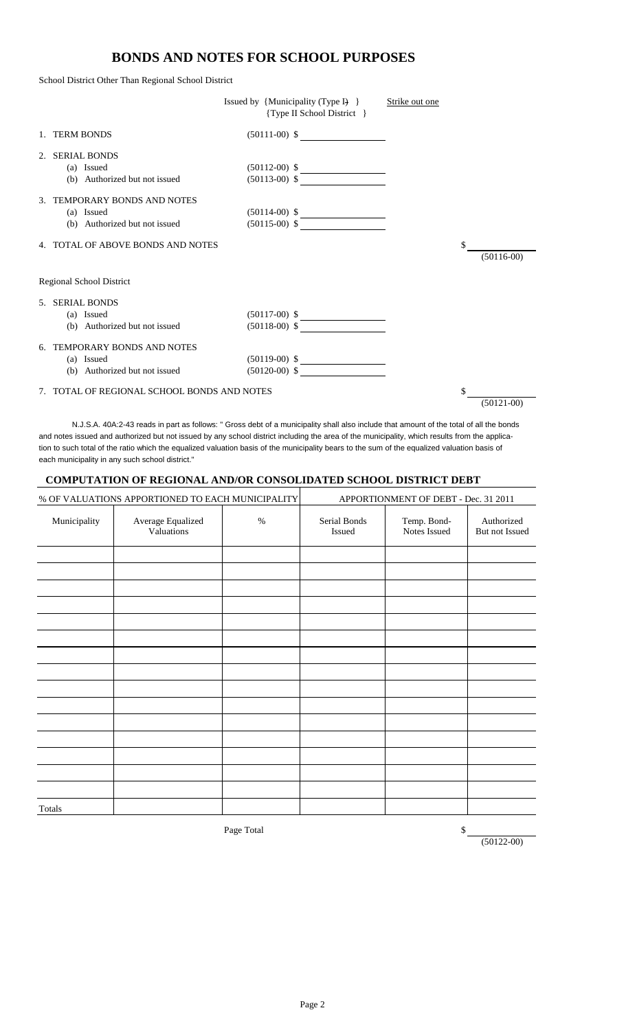#### **BONDS AND NOTES FOR SCHOOL PURPOSES**

School District Other Than Regional School District

|    |                                             | Issued by {Municipality (Type I) }<br>{Type II School District } | Strike out one |                    |
|----|---------------------------------------------|------------------------------------------------------------------|----------------|--------------------|
|    | 1. TERM BONDS                               | $(50111-00)$ \$                                                  |                |                    |
| 2. | <b>SERIAL BONDS</b>                         |                                                                  |                |                    |
|    | (a) Issued                                  | $(50112-00)$ \$                                                  |                |                    |
|    | (b) Authorized but not issued               | $(50113-00)$ \$                                                  |                |                    |
|    | 3. TEMPORARY BONDS AND NOTES                |                                                                  |                |                    |
|    | (a) Issued                                  | $(50114-00)$ \$                                                  |                |                    |
|    | (b) Authorized but not issued               | $(50115-00)$ \$                                                  |                |                    |
|    | 4. TOTAL OF ABOVE BONDS AND NOTES           |                                                                  |                | \$<br>$(50116-00)$ |
|    | Regional School District                    |                                                                  |                |                    |
|    | 5. SERIAL BONDS                             |                                                                  |                |                    |
|    | (a) Issued                                  | $(50117-00)$ \$                                                  |                |                    |
|    | (b) Authorized but not issued               | $(50118-00)$ \$                                                  |                |                    |
|    | 6. TEMPORARY BONDS AND NOTES                |                                                                  |                |                    |
|    | (a) Issued                                  | $(50119-00)$ \$                                                  |                |                    |
|    | (b) Authorized but not issued               | $(50120-00)$ \$                                                  |                |                    |
|    | 7. TOTAL OF REGIONAL SCHOOL BONDS AND NOTES |                                                                  |                | $(50121-00)$       |

 N.J.S.A. 40A:2-43 reads in part as follows: " Gross debt of a municipality shall also include that amount of the total of all the bonds and notes issued and authorized but not issued by any school district including the area of the municipality, which results from the application to such total of the ratio which the equalized valuation basis of the municipality bears to the sum of the equalized valuation basis of each municipality in any such school district."

#### **COMPUTATION OF REGIONAL AND/OR CONSOLIDATED SCHOOL DISTRICT DEBT**

|              | % OF VALUATIONS APPORTIONED TO EACH MUNICIPALITY |      | APPORTIONMENT OF DEBT - Dec. 31 2011 |                             |                              |
|--------------|--------------------------------------------------|------|--------------------------------------|-----------------------------|------------------------------|
| Municipality | Average Equalized<br>Valuations                  | $\%$ | Serial Bonds<br>Issued               | Temp. Bond-<br>Notes Issued | Authorized<br>But not Issued |
|              |                                                  |      |                                      |                             |                              |
|              |                                                  |      |                                      |                             |                              |
|              |                                                  |      |                                      |                             |                              |
|              |                                                  |      |                                      |                             |                              |
|              |                                                  |      |                                      |                             |                              |
|              |                                                  |      |                                      |                             |                              |
|              |                                                  |      |                                      |                             |                              |
|              |                                                  |      |                                      |                             |                              |
|              |                                                  |      |                                      |                             |                              |
|              |                                                  |      |                                      |                             |                              |
|              |                                                  |      |                                      |                             |                              |
|              |                                                  |      |                                      |                             |                              |
|              |                                                  |      |                                      |                             |                              |
|              |                                                  |      |                                      |                             |                              |
|              |                                                  |      |                                      |                             |                              |
| Totals       |                                                  |      |                                      |                             |                              |

Page Total

 $\frac{\sqrt{50122-00}}{2}$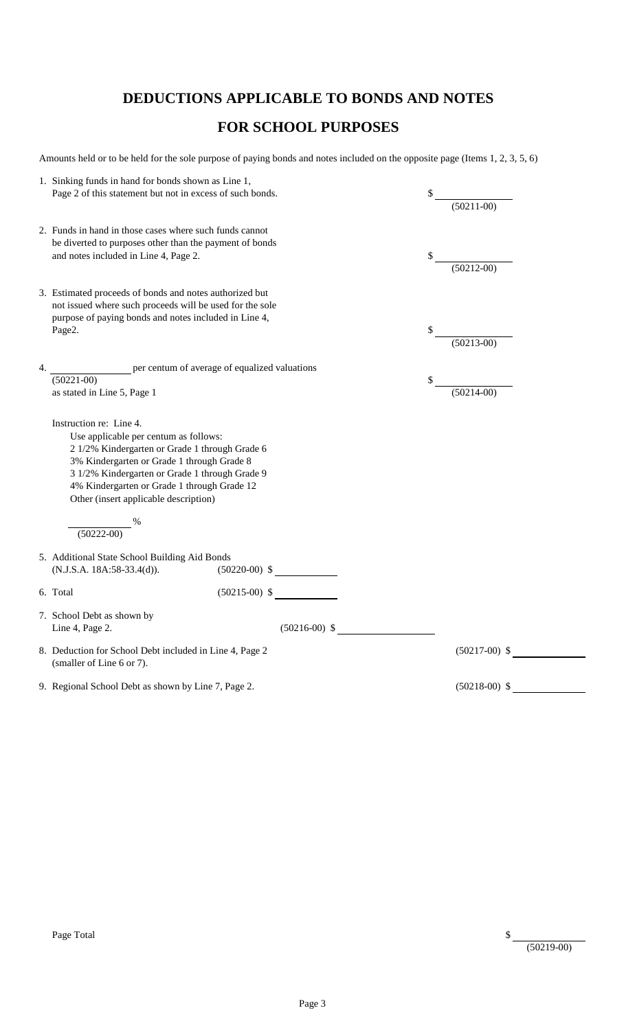## **DEDUCTIONS APPLICABLE TO BONDS AND NOTES**

## **FOR SCHOOL PURPOSES**

Amounts held or to be held for the sole purpose of paying bonds and notes included on the opposite page (Items 1, 2, 3, 5, 6)

|    | 1. Sinking funds in hand for bonds shown as Line 1,                                                                                                                                                                                                                                                       |                    |
|----|-----------------------------------------------------------------------------------------------------------------------------------------------------------------------------------------------------------------------------------------------------------------------------------------------------------|--------------------|
|    | Page 2 of this statement but not in excess of such bonds.                                                                                                                                                                                                                                                 | \$                 |
|    |                                                                                                                                                                                                                                                                                                           | $(50211-00)$       |
|    | 2. Funds in hand in those cases where such funds cannot<br>be diverted to purposes other than the payment of bonds<br>and notes included in Line 4, Page 2.                                                                                                                                               | \$<br>$(50212-00)$ |
|    | 3. Estimated proceeds of bonds and notes authorized but<br>not issued where such proceeds will be used for the sole<br>purpose of paying bonds and notes included in Line 4,<br>Page2.                                                                                                                    | $(50213-00)$       |
| 4. | per centum of average of equalized valuations                                                                                                                                                                                                                                                             |                    |
|    | $(50221-00)$                                                                                                                                                                                                                                                                                              | \$                 |
|    | as stated in Line 5, Page 1                                                                                                                                                                                                                                                                               | $(50214-00)$       |
|    | Use applicable per centum as follows:<br>2 1/2% Kindergarten or Grade 1 through Grade 6<br>3% Kindergarten or Grade 1 through Grade 8<br>3 1/2% Kindergarten or Grade 1 through Grade 9<br>4% Kindergarten or Grade 1 through Grade 12<br>Other (insert applicable description)<br>$\frac{8}{(50222-00)}$ |                    |
|    | 5. Additional State School Building Aid Bonds<br>$(50220-00)$ \$<br>(N.J.S.A. 18A:58-33.4(d)).                                                                                                                                                                                                            |                    |
|    | $(50215-00)$ \$<br>6. Total                                                                                                                                                                                                                                                                               |                    |
|    | 7. School Debt as shown by<br>$(50216-00)$ \$<br>Line 4, Page 2.                                                                                                                                                                                                                                          |                    |
|    | 8. Deduction for School Debt included in Line 4, Page 2<br>(smaller of Line 6 or 7).                                                                                                                                                                                                                      | $(50217-00)$ \$    |
|    | 9. Regional School Debt as shown by Line 7, Page 2.                                                                                                                                                                                                                                                       | $(50218-00)$ \$    |
|    |                                                                                                                                                                                                                                                                                                           |                    |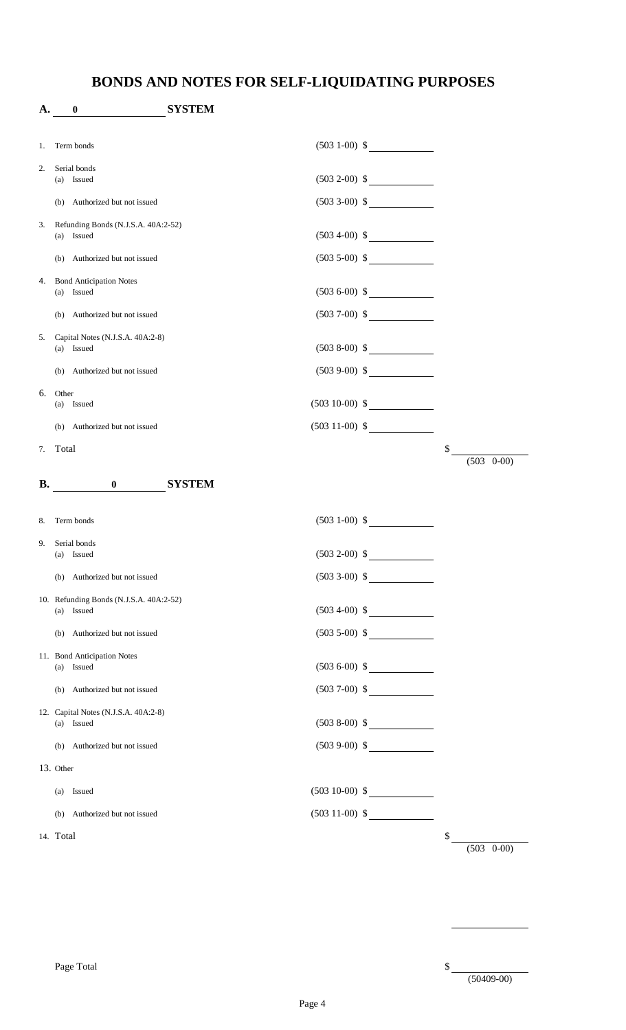# **BONDS AND NOTES FOR SELF-LIQUIDATING PURPOSES**

| A.        | 0                                                  | <b>SYSTEM</b>             |                       |
|-----------|----------------------------------------------------|---------------------------|-----------------------|
| 1.        | Term bonds                                         | $(503 1-00)$ \$           |                       |
| 2.        | Serial bonds<br>(a) Issued                         | $(503 2-00)$ \$           |                       |
|           | (b) Authorized but not issued                      |                           |                       |
| 3.        | Refunding Bonds (N.J.S.A. 40A:2-52)<br>(a) Issued  | $(503 4-00)$ \$           |                       |
|           | (b) Authorized but not issued                      | $(503 5-00)$ \$           |                       |
| 4.        | <b>Bond Anticipation Notes</b><br>(a) Issued       | $(503 6-00)$ \$           |                       |
|           | (b) Authorized but not issued                      | $(503 7-00)$ \$           |                       |
| 5.        | Capital Notes (N.J.S.A. 40A:2-8)<br>(a) Issued     | $(5038-00)$ \$            |                       |
|           | (b) Authorized but not issued                      | $(5039-00)$ \$            |                       |
| 6.        | Other<br>(a) Issued                                | $(503 10-00)$ \$          |                       |
|           | (b) Authorized but not issued                      | $(503 11-00)$ \$          |                       |
| 7.        | Total                                              |                           | \$<br>$(503 \t 0-00)$ |
| <b>B.</b> | <b>O</b> SYSTEM                                    |                           |                       |
|           |                                                    |                           |                       |
| 8.        | Term bonds                                         | $(503 1-00)$ \$           |                       |
| 9.        | Serial bonds<br>(a) Issued                         | $(503 2-00)$ \$           |                       |
|           | (b) Authorized but not issued                      | $(503\ 3-00)\$ \$         |                       |
|           | 10. Refunding Bonds (N.J.S.A. 40A:2-52)            |                           |                       |
|           | (a) Issued                                         | $(503\ 4-00)$ \$          |                       |
|           | (b) Authorized but not issued                      | $(503\ 5{\text -}00)\$ \$ |                       |
|           | 11. Bond Anticipation Notes<br>(a) Issued          | $(503 6-00)$ \$           |                       |
|           | (b) Authorized but not issued                      | $(5037-00)$ \$            |                       |
|           | 12. Capital Notes (N.J.S.A. 40A:2-8)<br>(a) Issued | $(5038-00)$ \$            |                       |
|           | (b) Authorized but not issued                      | $(5039-00)$ \$            |                       |
|           | 13. Other                                          |                           |                       |
|           | Issued<br>(a)                                      | $(503 10-00)$ \$          |                       |
|           | (b) Authorized but not issued                      | $(503 11-00)$ \$          |                       |
|           | 14. Total                                          |                           | \$<br>$(503 \t 0-00)$ |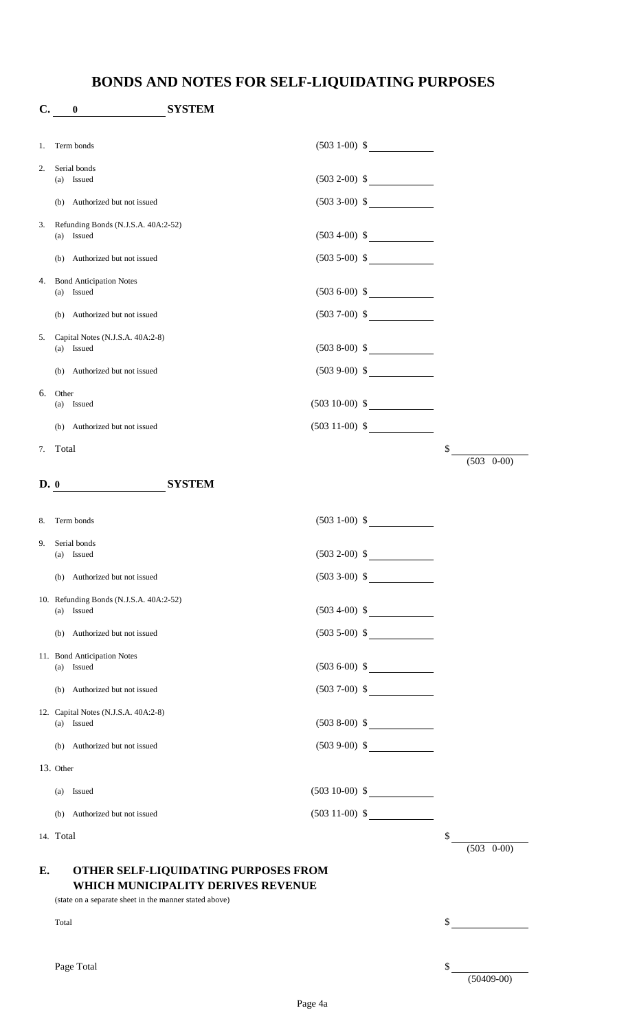# **BONDS AND NOTES FOR SELF-LIQUIDATING PURPOSES**

| C.   | $\bf{0}$                                               | <b>SYSTEM</b>                        |                   |                       |
|------|--------------------------------------------------------|--------------------------------------|-------------------|-----------------------|
| 1.   | Term bonds                                             |                                      | $(503 1-00)$ \$   |                       |
| 2.   | Serial bonds                                           |                                      |                   |                       |
|      | (a) Issued                                             |                                      | $(503 2-00)$ \$   |                       |
|      | (b) Authorized but not issued                          |                                      | $(503\ 3-00)\$ \$ |                       |
| 3.   | Refunding Bonds (N.J.S.A. 40A:2-52)<br>(a) Issued      |                                      | $(503\ 4-00) \$   |                       |
|      | (b) Authorized but not issued                          |                                      | $(503 5-00)$ \$   |                       |
| 4.   | <b>Bond Anticipation Notes</b>                         |                                      |                   |                       |
|      | (a) Issued                                             |                                      | $(503 6-00)$ \$   |                       |
|      | (b) Authorized but not issued                          |                                      | $(503 7-00)$ \$   |                       |
| 5.   | Capital Notes (N.J.S.A. 40A:2-8)<br>(a) Issued         |                                      | $(5038-00)$ \$    |                       |
|      | (b) Authorized but not issued                          |                                      | $(5039-00)$ \$    |                       |
| 6.   | Other<br>(a) Issued                                    |                                      | $(503 10-00)$ \$  |                       |
|      | (b) Authorized but not issued                          |                                      | $(503 11-00)$ \$  |                       |
| 7.   | Total                                                  |                                      |                   | \$                    |
|      |                                                        |                                      |                   | $(503 \t 0-00)$       |
| D. 0 |                                                        | <b>SYSTEM</b>                        |                   |                       |
| 8.   | Term bonds                                             |                                      | $(503 1-00)$ \$   |                       |
| 9.   | Serial bonds                                           |                                      |                   |                       |
|      | (a) Issued                                             | $(503 2-00)$ \$                      |                   |                       |
|      | Authorized but not issued<br>(b)                       |                                      | $(503 3-00)$ \$   |                       |
|      | 10. Refunding Bonds (N.J.S.A. 40A:2-52)<br>(a) Issued  |                                      | $(503\ 4-00) \$   |                       |
|      | (b) Authorized but not issued                          |                                      | $(503 5-00)$ \$   |                       |
|      | 11. Bond Anticipation Notes                            |                                      |                   |                       |
|      | (a) Issued                                             |                                      | $(503 6-00)$ \$   |                       |
|      | (b) Authorized but not issued                          |                                      | $(5037-00)$ \$    |                       |
|      | 12. Capital Notes (N.J.S.A. 40A:2-8)<br>(a) Issued     |                                      | $(5038-00)$ \$    |                       |
|      | (b) Authorized but not issued                          |                                      | $(5039-00)$ \$    |                       |
|      | 13. Other                                              |                                      |                   |                       |
|      | (a) Issued                                             |                                      | $(503 10-00)$ \$  |                       |
|      | (b) Authorized but not issued                          |                                      | $(503\ 11-00)$ \$ |                       |
|      | 14. Total                                              |                                      |                   | \$<br>$(503 \t 0-00)$ |
| E.   |                                                        | OTHER SELF-LIQUIDATING PURPOSES FROM |                   |                       |
|      |                                                        | WHICH MUNICIPALITY DERIVES REVENUE   |                   |                       |
|      | (state on a separate sheet in the manner stated above) |                                      |                   |                       |
|      | Total                                                  |                                      |                   | \$                    |
|      |                                                        |                                      |                   |                       |
|      | Page Total                                             |                                      |                   | \$<br>$(50409-00)$    |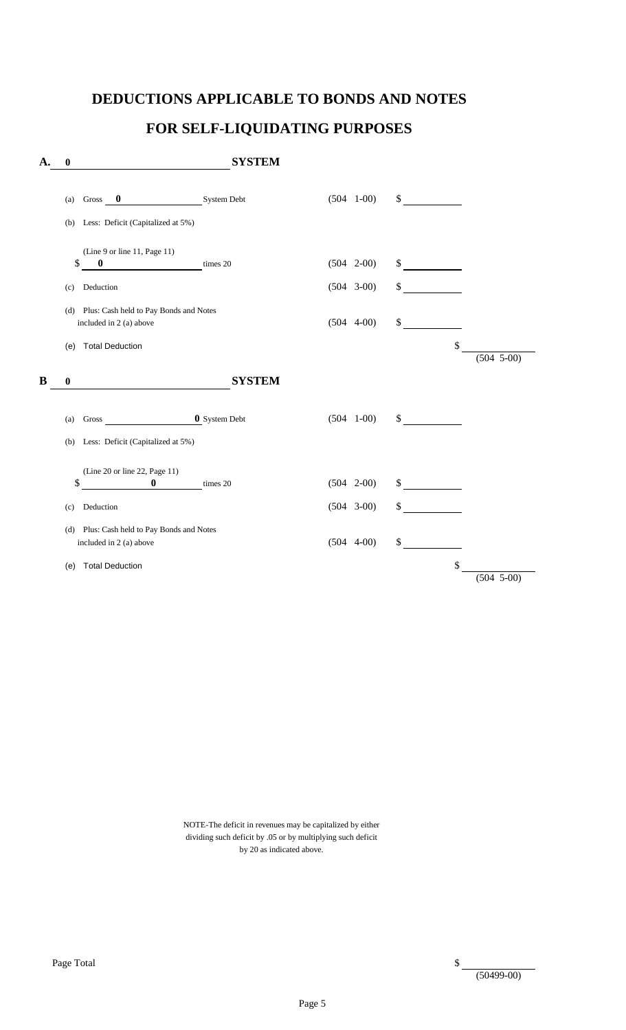#### **DEDUCTIONS APPLICABLE TO BONDS AND NOTES**

# **FOR SELF-LIQUIDATING PURPOSES**

| System Debt<br>$(504 \t1-00)$<br>\$<br>$\bf{0}$<br>Gross<br>(a)<br>Less: Deficit (Capitalized at 5%)<br>(b)<br>(Line 9 or line 11, Page 11)<br>\$<br>$(504 \t 2-00)$<br>\$<br>$\bf{0}$<br>times 20<br>\$<br>$(504 \quad 3-00)$<br>Deduction<br>(c)<br>Plus: Cash held to Pay Bonds and Notes<br>(d)<br>\$<br>$(504 4-00)$<br>included in 2 (a) above<br>\$<br><b>Total Deduction</b><br>(e)<br><b>SYSTEM</b><br>$\boldsymbol{0}$<br><b>0</b> System Debt<br>$(504 \quad 1-00)$<br>\$<br>Gross<br>(a)<br>Less: Deficit (Capitalized at 5%)<br>(b)<br>(Line 20 or line 22, Page 11)<br>\$<br>$\bf{0}$<br>\$<br>$(504 \t 2-00)$<br>times 20<br>\$<br>$(504 \quad 3-00)$<br>Deduction<br>(c)<br>Plus: Cash held to Pay Bonds and Notes<br>(d)<br>$(504 4-00)$<br>\$<br>included in 2 (a) above<br>\$<br><b>Total Deduction</b><br>(e) | $\boldsymbol{0}$ | <b>SYSTEM</b> |  |              |
|-----------------------------------------------------------------------------------------------------------------------------------------------------------------------------------------------------------------------------------------------------------------------------------------------------------------------------------------------------------------------------------------------------------------------------------------------------------------------------------------------------------------------------------------------------------------------------------------------------------------------------------------------------------------------------------------------------------------------------------------------------------------------------------------------------------------------------------|------------------|---------------|--|--------------|
|                                                                                                                                                                                                                                                                                                                                                                                                                                                                                                                                                                                                                                                                                                                                                                                                                                   |                  |               |  |              |
|                                                                                                                                                                                                                                                                                                                                                                                                                                                                                                                                                                                                                                                                                                                                                                                                                                   |                  |               |  |              |
|                                                                                                                                                                                                                                                                                                                                                                                                                                                                                                                                                                                                                                                                                                                                                                                                                                   |                  |               |  |              |
|                                                                                                                                                                                                                                                                                                                                                                                                                                                                                                                                                                                                                                                                                                                                                                                                                                   |                  |               |  |              |
|                                                                                                                                                                                                                                                                                                                                                                                                                                                                                                                                                                                                                                                                                                                                                                                                                                   |                  |               |  |              |
|                                                                                                                                                                                                                                                                                                                                                                                                                                                                                                                                                                                                                                                                                                                                                                                                                                   |                  |               |  | $(504 5-00)$ |
|                                                                                                                                                                                                                                                                                                                                                                                                                                                                                                                                                                                                                                                                                                                                                                                                                                   |                  |               |  |              |
|                                                                                                                                                                                                                                                                                                                                                                                                                                                                                                                                                                                                                                                                                                                                                                                                                                   |                  |               |  |              |
|                                                                                                                                                                                                                                                                                                                                                                                                                                                                                                                                                                                                                                                                                                                                                                                                                                   |                  |               |  |              |
|                                                                                                                                                                                                                                                                                                                                                                                                                                                                                                                                                                                                                                                                                                                                                                                                                                   |                  |               |  |              |
|                                                                                                                                                                                                                                                                                                                                                                                                                                                                                                                                                                                                                                                                                                                                                                                                                                   |                  |               |  |              |
|                                                                                                                                                                                                                                                                                                                                                                                                                                                                                                                                                                                                                                                                                                                                                                                                                                   |                  |               |  |              |
|                                                                                                                                                                                                                                                                                                                                                                                                                                                                                                                                                                                                                                                                                                                                                                                                                                   |                  |               |  | $(504 5-00)$ |

 NOTE-The deficit in revenues may be capitalized by either dividing such deficit by .05 or by multiplying such deficit by 20 as indicated above.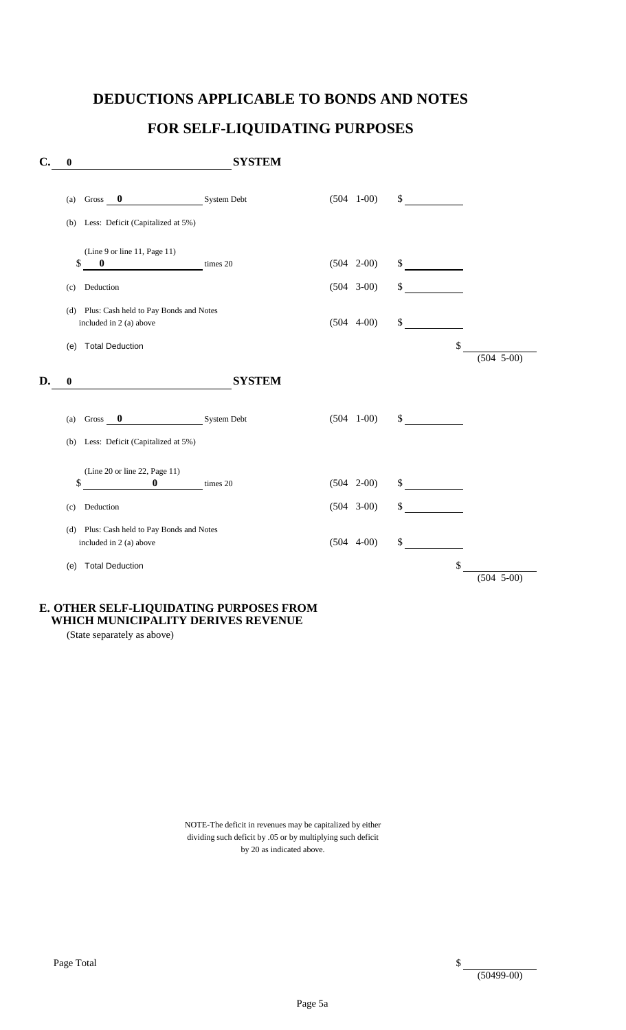#### **DEDUCTIONS APPLICABLE TO BONDS AND NOTES**

# **FOR SELF-LIQUIDATING PURPOSES**

| $\mathbf{C}$ . | $\boldsymbol{0}$                                                                                          | <b>SYSTEM</b> |                                       |          |                |
|----------------|-----------------------------------------------------------------------------------------------------------|---------------|---------------------------------------|----------|----------------|
|                | $\bf{0}$<br>Gross<br>(a)<br>Less: Deficit (Capitalized at 5%)<br>(b)                                      | System Debt   | $(504 \quad 1-00)$                    | \$       |                |
|                | (Line 9 or line 11, Page 11)<br>\$<br>$\bf{0}$<br>Deduction<br>(c)                                        | times 20      | $(504 \t 2-00)$<br>$(504 \quad 3-00)$ | \$<br>\$ |                |
|                | Plus: Cash held to Pay Bonds and Notes<br>(d)<br>included in 2 (a) above<br><b>Total Deduction</b><br>(e) |               | $(504 4-00)$                          | \$<br>\$ |                |
| D.             | $\boldsymbol{0}$                                                                                          | <b>SYSTEM</b> |                                       |          | $(504 5-00)$   |
|                | $\bf{0}$<br>Gross<br>(a)                                                                                  | System Debt   | $(504 \quad 1-00)$                    | \$       |                |
|                | Less: Deficit (Capitalized at 5%)<br>(b)                                                                  |               |                                       |          |                |
|                | (Line 20 or line 22, Page 11)<br>\$<br>$\bf{0}$                                                           | times 20      | $(504 \quad 2-00)$                    | \$       |                |
|                | Deduction<br>(c)                                                                                          |               | $(504 3-00)$                          | \$       |                |
|                | Plus: Cash held to Pay Bonds and Notes<br>(d)<br>included in 2 (a) above                                  |               | $(504 4-00)$                          | \$       |                |
|                | <b>Total Deduction</b><br>(e)                                                                             |               |                                       | \$       | $(504 \ 5-00)$ |

#### **E. OTHER SELF-LIQUIDATING PURPOSES FROM WHICH MUNICIPALITY DERIVES REVENUE**

(State separately as above)

 NOTE-The deficit in revenues may be capitalized by either dividing such deficit by .05 or by multiplying such deficit by 20 as indicated above.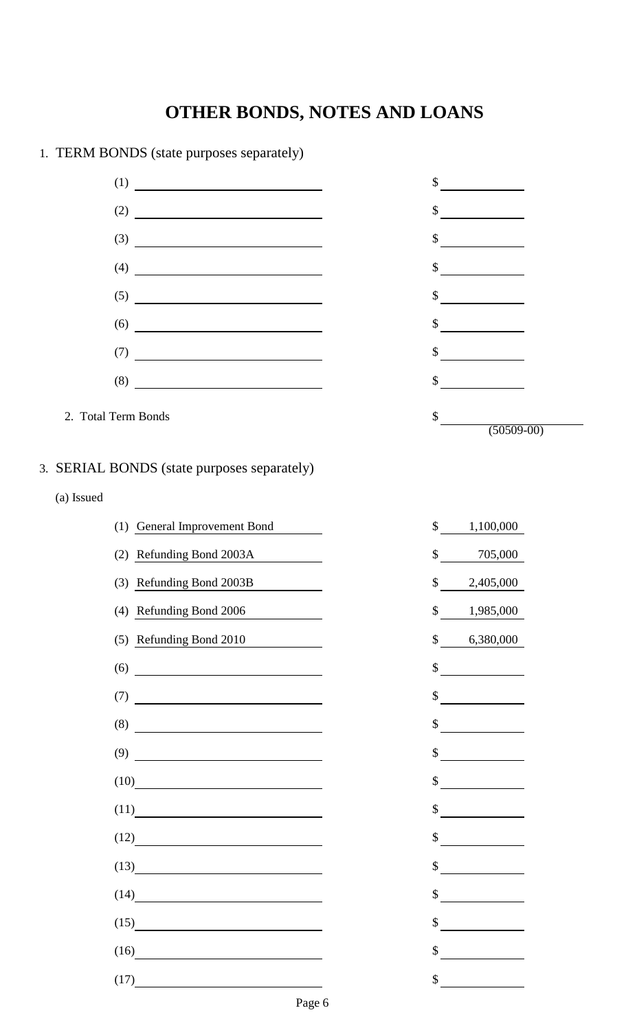| <b>TERM DOTIBU (state purposes separately)</b>                                                                                                                                                                                                                                                                                                                                                             |                                                                                                                                                                                                                                            |
|------------------------------------------------------------------------------------------------------------------------------------------------------------------------------------------------------------------------------------------------------------------------------------------------------------------------------------------------------------------------------------------------------------|--------------------------------------------------------------------------------------------------------------------------------------------------------------------------------------------------------------------------------------------|
|                                                                                                                                                                                                                                                                                                                                                                                                            | \$                                                                                                                                                                                                                                         |
|                                                                                                                                                                                                                                                                                                                                                                                                            | \$                                                                                                                                                                                                                                         |
| $\overline{\hspace{1cm}}$ (3) $\overline{\hspace{1cm}}$                                                                                                                                                                                                                                                                                                                                                    | \$                                                                                                                                                                                                                                         |
| $\begin{array}{c} \n \text{(4)} \end{array}$                                                                                                                                                                                                                                                                                                                                                               | \$<br><u> a shekara ta 1999 a shekara t</u>                                                                                                                                                                                                |
|                                                                                                                                                                                                                                                                                                                                                                                                            | \$<br>$\overline{\phantom{a}}$                                                                                                                                                                                                             |
| $(6) \qquad \qquad \overbrace{\qquad \qquad }$                                                                                                                                                                                                                                                                                                                                                             | \$                                                                                                                                                                                                                                         |
| $\begin{array}{c} \text{(7)} \end{array}$                                                                                                                                                                                                                                                                                                                                                                  | \$                                                                                                                                                                                                                                         |
| (8)                                                                                                                                                                                                                                                                                                                                                                                                        | <u>and a strategic of the strategic of the strategic of the strategic of the strategic of the strategic of the strategic of the strategic of the strategic of the strategic of the strategic of the strategic of the strategic o</u><br>\$ |
| 2. Total Term Bonds                                                                                                                                                                                                                                                                                                                                                                                        |                                                                                                                                                                                                                                            |
|                                                                                                                                                                                                                                                                                                                                                                                                            | $\mathsf{S}$<br>$(50509-00)$                                                                                                                                                                                                               |
| 3. SERIAL BONDS (state purposes separately)                                                                                                                                                                                                                                                                                                                                                                |                                                                                                                                                                                                                                            |
| (a) Issued                                                                                                                                                                                                                                                                                                                                                                                                 |                                                                                                                                                                                                                                            |
| (1) General Improvement Bond                                                                                                                                                                                                                                                                                                                                                                               | \$<br>1,100,000                                                                                                                                                                                                                            |
| (2) Refunding Bond 2003A                                                                                                                                                                                                                                                                                                                                                                                   | \$<br>705,000                                                                                                                                                                                                                              |
| (3) Refunding Bond 2003B                                                                                                                                                                                                                                                                                                                                                                                   | 2,405,000<br>\$                                                                                                                                                                                                                            |
| (4) Refunding Bond 2006                                                                                                                                                                                                                                                                                                                                                                                    | \$<br>1,985,000                                                                                                                                                                                                                            |
| (5) Refunding Bond 2010                                                                                                                                                                                                                                                                                                                                                                                    | $\mathsf{\$}$<br>6,380,000                                                                                                                                                                                                                 |
| $(6) \qquad \qquad \overbrace{\qquad \qquad }$                                                                                                                                                                                                                                                                                                                                                             | \$                                                                                                                                                                                                                                         |
| $\overline{1}$ $\overline{1}$ $\overline{1}$ $\overline{1}$ $\overline{1}$ $\overline{1}$ $\overline{1}$ $\overline{1}$ $\overline{1}$ $\overline{1}$ $\overline{1}$ $\overline{1}$ $\overline{1}$ $\overline{1}$ $\overline{1}$ $\overline{1}$ $\overline{1}$ $\overline{1}$ $\overline{1}$ $\overline{1}$ $\overline{1}$ $\overline{1}$ $\overline{1}$ $\overline{1}$ $\overline{$                       | \$                                                                                                                                                                                                                                         |
|                                                                                                                                                                                                                                                                                                                                                                                                            | $\mathcal{S}$                                                                                                                                                                                                                              |
|                                                                                                                                                                                                                                                                                                                                                                                                            | \$                                                                                                                                                                                                                                         |
| $(9) \begin{tabular}{l} \hline \rule[1em]{1em}{1em} \rule[1em]{1em}{1em} \rule[1em]{1em}{1em} \rule[1em]{1em}{1em} \rule[1em]{1em}{1em} \rule[1em]{1em}{1em} \rule[1em]{1em}{1em} \rule[1em]{1em}{1em} \rule[1em]{1em}{1em} \rule[1em]{1em}{1em} \rule[1em]{1em}{1em} \rule[1em]{1em}{1em} \rule[1em]{1em}{1em} \rule[1em]{1em}{1em} \rule[1em]{1em}{1em} \rule[1em]{1em}{1em} \rule[1em]{1em}{1em} \rule$ | \$                                                                                                                                                                                                                                         |
| (10)                                                                                                                                                                                                                                                                                                                                                                                                       | $\mathbb{S}$                                                                                                                                                                                                                               |
| (11)                                                                                                                                                                                                                                                                                                                                                                                                       | \$                                                                                                                                                                                                                                         |
| (12)                                                                                                                                                                                                                                                                                                                                                                                                       | \$                                                                                                                                                                                                                                         |
| (13)                                                                                                                                                                                                                                                                                                                                                                                                       |                                                                                                                                                                                                                                            |
| (14)                                                                                                                                                                                                                                                                                                                                                                                                       | $\mathbb{S}$<br><u> 1990 - Jan Barat, prima politik (</u>                                                                                                                                                                                  |
|                                                                                                                                                                                                                                                                                                                                                                                                            | \$                                                                                                                                                                                                                                         |
|                                                                                                                                                                                                                                                                                                                                                                                                            | $\mathcal{S}$                                                                                                                                                                                                                              |
| (17)                                                                                                                                                                                                                                                                                                                                                                                                       | $\mathbb{S}$                                                                                                                                                                                                                               |

1. TERM BONDS (state purposes separately)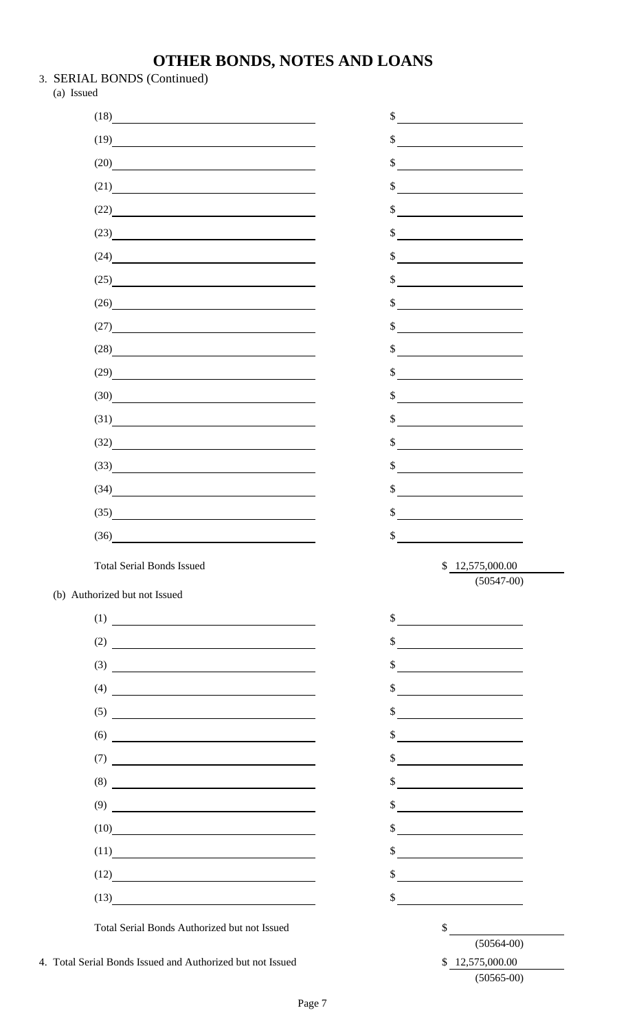- 3. SERIAL BONDS (Continued)
	- (a) Issued

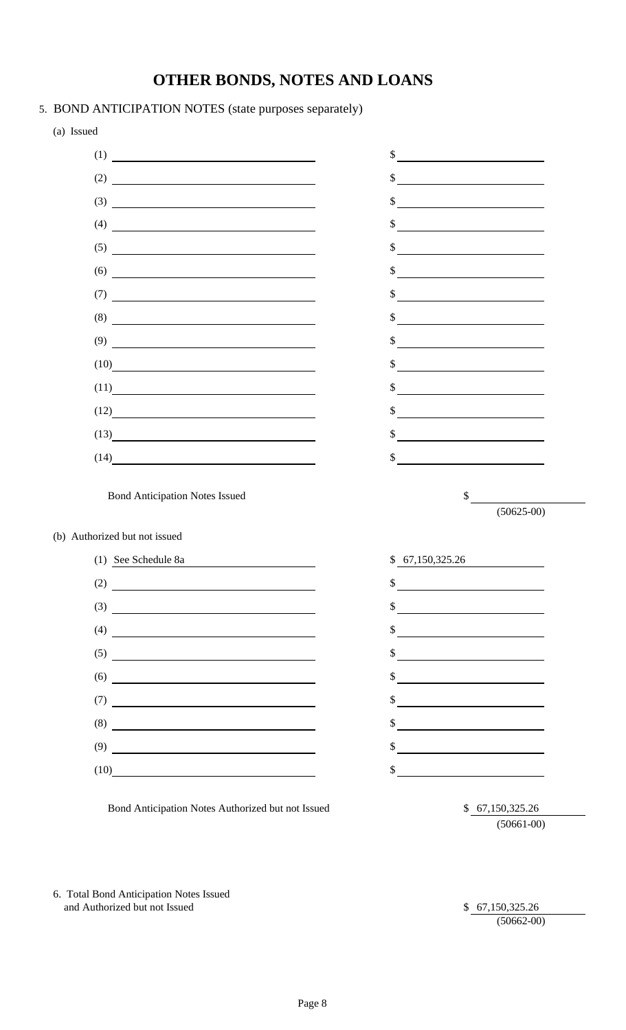- 5. BOND ANTICIPATION NOTES (state purposes separately)
	- (a) Issued









 $(50625-00)$ 

Bond Anticipation Notes Authorized but not Issued \$ 67,150,325.26

(50661-00)

6. Total Bond Anticipation Notes Issued and Authorized but not Issued \$ 67,150,325.26

(50662-00)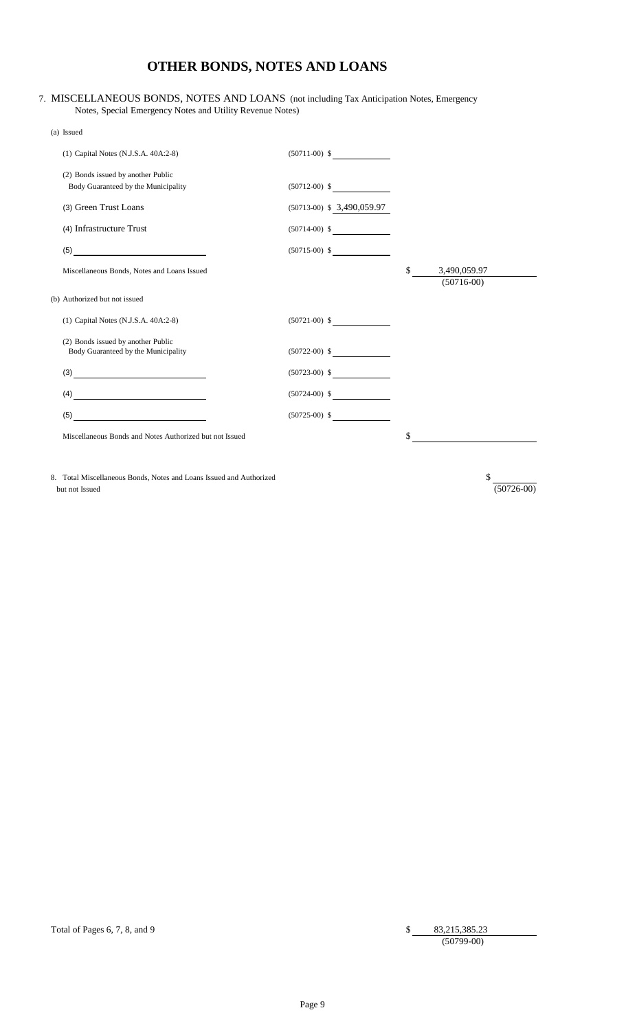#### 7. MISCELLANEOUS BONDS, NOTES AND LOANS (not including Tax Anticipation Notes, Emergency Notes, Special Emergency Notes and Utility Revenue Notes)

| (a) Issued |                                                                           |                              |                                    |
|------------|---------------------------------------------------------------------------|------------------------------|------------------------------------|
|            | (1) Capital Notes (N.J.S.A. 40A:2-8)                                      | $(50711-00)$ \$              |                                    |
|            | (2) Bonds issued by another Public<br>Body Guaranteed by the Municipality | $(50712-00)$ \$              |                                    |
|            | (3) Green Trust Loans                                                     | $(50713-00)$ \$ 3,490,059.97 |                                    |
|            | (4) Infrastructure Trust                                                  | $(50714-00)$ \$              |                                    |
|            | (5)                                                                       | $(50715-00)$ \$              |                                    |
|            | Miscellaneous Bonds, Notes and Loans Issued                               |                              | \$<br>3,490,059.97<br>$(50716-00)$ |
|            | (b) Authorized but not issued                                             |                              |                                    |
|            | (1) Capital Notes (N.J.S.A. 40A:2-8)                                      | $(50721-00)$ \$              |                                    |
|            | (2) Bonds issued by another Public<br>Body Guaranteed by the Municipality | $(50722-00)$ \$              |                                    |
|            | (3)                                                                       | $(50723-00)$ \$              |                                    |
|            | (4)                                                                       | $(50724-00)$ \$              |                                    |
|            | (5)                                                                       | $(50725-00)$ \$              |                                    |
|            | Miscellaneous Bonds and Notes Authorized but not Issued                   |                              | \$                                 |
|            |                                                                           |                              |                                    |
|            |                                                                           |                              |                                    |

8. Total Miscellaneous Bonds, Notes and Loans Issued and Authorized \$ Examples 2. Total Miscellaneous Bonds, Notes and Loans Issued and Authorized but not Issued  $\sqrt[3]{\frac{50726-00}{50726-00}}$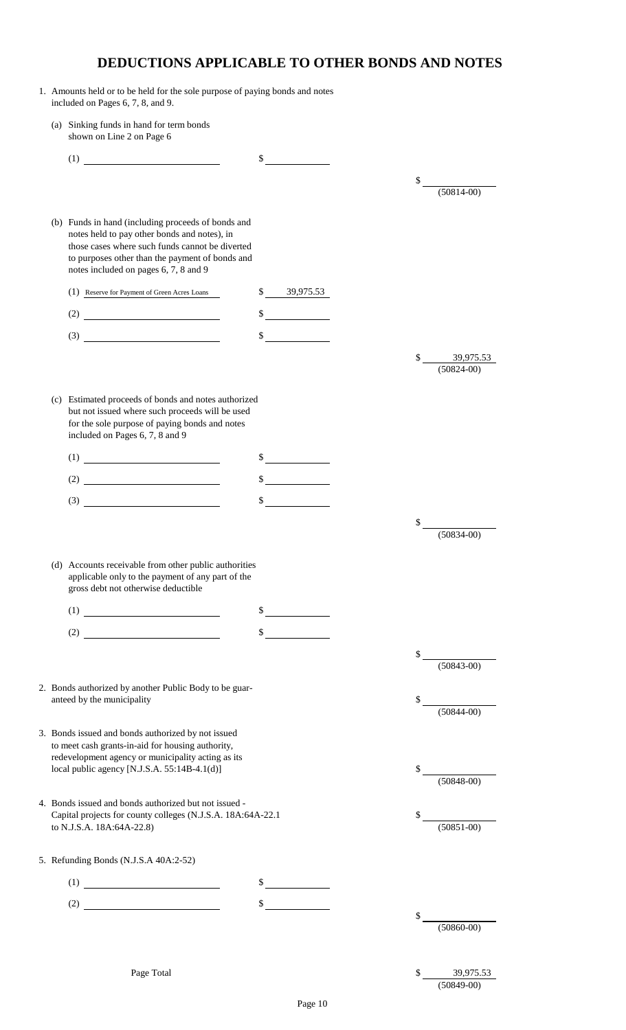# **DEDUCTIONS APPLICABLE TO OTHER BONDS AND NOTES**

- 1. Amounts held or to be held for the sole purpose of paying bonds and notes included on Pages 6, 7, 8, and 9.
	- (a) Sinking funds in hand for term bonds shown on Line 2 on Page 6

| (1)                                                                                                                                                                                                                                                                                                                                                                                                                                                            | \$            |    |                             |
|----------------------------------------------------------------------------------------------------------------------------------------------------------------------------------------------------------------------------------------------------------------------------------------------------------------------------------------------------------------------------------------------------------------------------------------------------------------|---------------|----|-----------------------------|
|                                                                                                                                                                                                                                                                                                                                                                                                                                                                |               | \$ |                             |
|                                                                                                                                                                                                                                                                                                                                                                                                                                                                |               |    | $(50814 - 00)$              |
| (b) Funds in hand (including proceeds of bonds and<br>notes held to pay other bonds and notes), in<br>those cases where such funds cannot be diverted<br>to purposes other than the payment of bonds and<br>notes included on pages 6, 7, 8 and 9                                                                                                                                                                                                              |               |    |                             |
| (1) Reserve for Payment of Green Acres Loans                                                                                                                                                                                                                                                                                                                                                                                                                   | \$39,975.53   |    |                             |
|                                                                                                                                                                                                                                                                                                                                                                                                                                                                |               |    |                             |
| $(3) \begin{tabular}{c} \multicolumn{2}{c} {\textbf{5.5}}\\ \multicolumn{2}{c} {\textbf{6.5}}\\ \multicolumn{2}{c} {\textbf{6.5}}\\ \multicolumn{2}{c} {\textbf{6.5}}\\ \multicolumn{2}{c} {\textbf{6.5}}\\ \multicolumn{2}{c} {\textbf{6.5}}\\ \multicolumn{2}{c} {\textbf{6.5}}\\ \multicolumn{2}{c} {\textbf{6.5}}\\ \multicolumn{2}{c} {\textbf{6.5}}\\ \multicolumn{2}{c} {\textbf{6.5}}\\ \multicolumn{2}{c} {\textbf{6.5}}\\ \multicolumn{2}{c} {\text$ | \$            |    |                             |
|                                                                                                                                                                                                                                                                                                                                                                                                                                                                |               |    |                             |
|                                                                                                                                                                                                                                                                                                                                                                                                                                                                |               | \$ | 39,975.53<br>$(50824 - 00)$ |
|                                                                                                                                                                                                                                                                                                                                                                                                                                                                |               |    |                             |
| (c) Estimated proceeds of bonds and notes authorized<br>but not issued where such proceeds will be used<br>for the sole purpose of paying bonds and notes<br>included on Pages 6, 7, 8 and 9                                                                                                                                                                                                                                                                   |               |    |                             |
| $(1) \begin{tabular}{ c c c c } \hline \rule{0pt}{8ex} & \rule{0pt}{4ex} \rule{0pt}{8ex} \rule{0pt}{8ex} \rule{0pt}{8ex} \rule{0pt}{8ex} \rule{0pt}{8ex} \rule{0pt}{8ex} \rule{0pt}{8ex} \rule{0pt}{8ex} \rule{0pt}{8ex} \rule{0pt}{8ex} \rule{0pt}{8ex} \rule{0pt}{8ex} \rule{0pt}{8ex} \rule{0pt}{8ex} \rule{0pt}{8ex} \rule{0pt}{8ex} \rule{0pt}{8ex} \rule{0pt}{8ex} \rule{0pt}{8ex} \rule{0pt}{8ex$                                                       |               |    |                             |
| (2)                                                                                                                                                                                                                                                                                                                                                                                                                                                            |               |    |                             |
| $\left(3\right)$                                                                                                                                                                                                                                                                                                                                                                                                                                               |               |    |                             |
|                                                                                                                                                                                                                                                                                                                                                                                                                                                                |               |    |                             |
|                                                                                                                                                                                                                                                                                                                                                                                                                                                                |               |    | $(50834 - 00)$              |
| applicable only to the payment of any part of the<br>gross debt not otherwise deductible                                                                                                                                                                                                                                                                                                                                                                       |               |    |                             |
| $(1) \begin{tabular}{ c c c c } \hline \rule{0pt}{8ex} & \rule{0pt}{8ex} \rule{0pt}{8ex} \rule{0pt}{8ex} \rule{0pt}{8ex} \rule{0pt}{8ex} \rule{0pt}{8ex} \rule{0pt}{8ex} \rule{0pt}{8ex} \rule{0pt}{8ex} \rule{0pt}{8ex} \rule{0pt}{8ex} \rule{0pt}{8ex} \rule{0pt}{8ex} \rule{0pt}{8ex} \rule{0pt}{8ex} \rule{0pt}{8ex} \rule{0pt}{8ex} \rule{0pt}{8ex} \rule{0pt}{8ex} \rule{0pt}{8ex} \rule{0pt}{8ex$                                                       |               |    |                             |
|                                                                                                                                                                                                                                                                                                                                                                                                                                                                | \$            |    |                             |
|                                                                                                                                                                                                                                                                                                                                                                                                                                                                |               |    | $(50843-00)$                |
| 2. Bonds authorized by another Public Body to be guar-                                                                                                                                                                                                                                                                                                                                                                                                         |               |    |                             |
| anteed by the municipality                                                                                                                                                                                                                                                                                                                                                                                                                                     |               |    | $(50844-00)$                |
|                                                                                                                                                                                                                                                                                                                                                                                                                                                                |               |    |                             |
| 3. Bonds issued and bonds authorized by not issued<br>to meet cash grants-in-aid for housing authority,                                                                                                                                                                                                                                                                                                                                                        |               |    |                             |
| redevelopment agency or municipality acting as its                                                                                                                                                                                                                                                                                                                                                                                                             |               |    |                             |
| local public agency [N.J.S.A. 55:14B-4.1(d)]                                                                                                                                                                                                                                                                                                                                                                                                                   |               |    | $(50848-00)$                |
| 4. Bonds issued and bonds authorized but not issued -                                                                                                                                                                                                                                                                                                                                                                                                          |               |    |                             |
| Capital projects for county colleges (N.J.S.A. 18A:64A-22.1                                                                                                                                                                                                                                                                                                                                                                                                    |               |    | $\frac{1}{(50851-00)}$      |
| to N.J.S.A. 18A:64A-22.8)                                                                                                                                                                                                                                                                                                                                                                                                                                      |               |    |                             |
| 5. Refunding Bonds (N.J.S.A 40A:2-52)                                                                                                                                                                                                                                                                                                                                                                                                                          |               |    |                             |
| $(1) \begin{tabular}{ c c c c } \hline \quad \quad & \quad & \quad & \quad \quad \\ \hline \end{tabular}$                                                                                                                                                                                                                                                                                                                                                      | $\frac{1}{2}$ |    |                             |
|                                                                                                                                                                                                                                                                                                                                                                                                                                                                | $\sim$        |    |                             |
|                                                                                                                                                                                                                                                                                                                                                                                                                                                                |               |    |                             |
|                                                                                                                                                                                                                                                                                                                                                                                                                                                                |               |    | $(50860-00)$                |
|                                                                                                                                                                                                                                                                                                                                                                                                                                                                |               |    |                             |
| Page Total                                                                                                                                                                                                                                                                                                                                                                                                                                                     |               | \$ | 39,975.53                   |
|                                                                                                                                                                                                                                                                                                                                                                                                                                                                |               |    | $(50849 - 00)$              |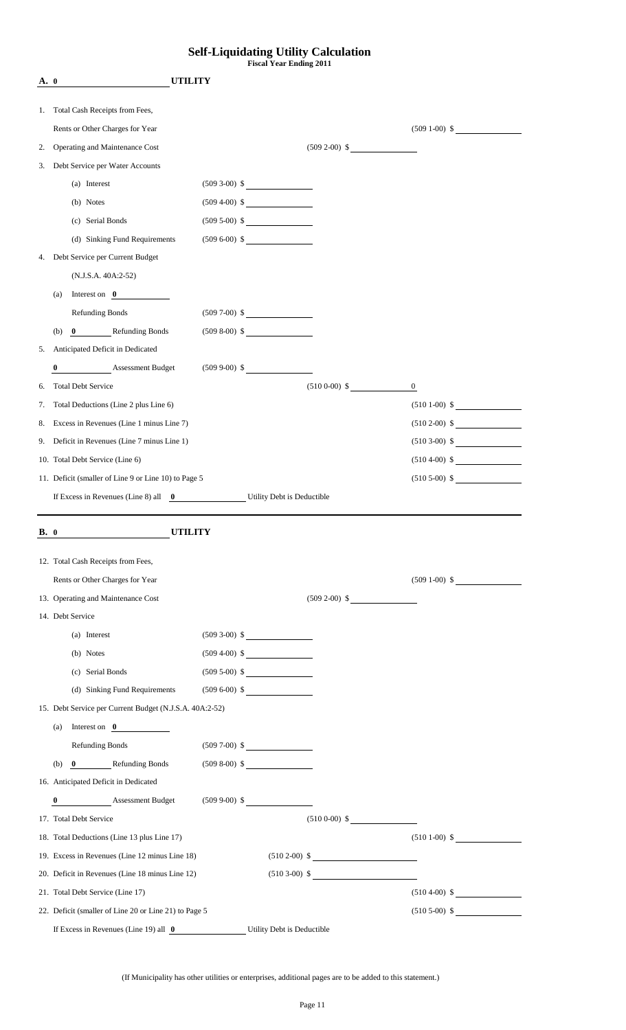#### **Self-Liquidating Utility Calculation Fiscal Year Ending 2011**

| A. 0        | <b>UTILITY</b>                                                   |                   |                   |                   |
|-------------|------------------------------------------------------------------|-------------------|-------------------|-------------------|
| 1.          | Total Cash Receipts from Fees,                                   |                   |                   |                   |
|             | Rents or Other Charges for Year                                  |                   |                   | $(509 1-00)$ \$   |
| 2.          | Operating and Maintenance Cost                                   |                   | $(509 2-00)$ \$   |                   |
| 3.          | Debt Service per Water Accounts                                  |                   |                   |                   |
|             | (a) Interest                                                     | $(509\ 3-00)\$ \$ |                   |                   |
|             | (b) Notes                                                        | $(509\ 4-00) \$   |                   |                   |
|             | (c) Serial Bonds                                                 | $(509 5-00)$ \$   |                   |                   |
|             | (d) Sinking Fund Requirements                                    | $(509 6-00)$ \$   |                   |                   |
| 4.          | Debt Service per Current Budget                                  |                   |                   |                   |
|             | $(N.J.S.A. 40A:2-52)$                                            |                   |                   |                   |
|             | Interest on $\theta$<br>(a)                                      |                   |                   |                   |
|             | Refunding Bonds                                                  | $(509\ 7-00)\$ \$ |                   |                   |
|             | 0 Refunding Bonds<br>(b)                                         | $(5098-00)$ \$    |                   |                   |
| 5.          | Anticipated Deficit in Dedicated                                 |                   |                   |                   |
|             | <b>Assessment Budget</b><br>$\bf{0}$                             | $(509\,9-00)\$ \$ |                   |                   |
| 6.          | <b>Total Debt Service</b>                                        |                   | $(5100-00)$ \$    | $\boldsymbol{0}$  |
| 7.          | Total Deductions (Line 2 plus Line 6)                            |                   |                   | $(5101-00)$ \$    |
| 8.          | Excess in Revenues (Line 1 minus Line 7)                         |                   |                   | $(510\ 2-00)\$ \$ |
|             | 9. Deficit in Revenues (Line 7 minus Line 1)                     |                   |                   | $(5103-00)$ \$    |
|             | 10. Total Debt Service (Line 6)                                  |                   |                   | $(510\ 4-00) \$   |
|             | 11. Deficit (smaller of Line 9 or Line 10) to Page 5             |                   |                   | $(5105-00)$ \$    |
|             | If Excess in Revenues (Line 8) all 0 Utility Debt is Deductible  |                   |                   |                   |
|             |                                                                  |                   |                   |                   |
| <b>B.</b> 0 | UTILITY                                                          |                   |                   |                   |
|             | 12. Total Cash Receipts from Fees,                               |                   |                   |                   |
|             | Rents or Other Charges for Year                                  |                   |                   | $(509 1-00)$ \$   |
|             | 13. Operating and Maintenance Cost                               |                   | $(509\ 2-00)\$ \$ |                   |
|             | 14. Debt Service                                                 |                   |                   |                   |
|             | (a) Interest                                                     | $(509 3-00)$ \$   |                   |                   |
|             | (b) Notes                                                        | $(509\ 4-00) \$   |                   |                   |
|             | (c) Serial Bonds                                                 | $(509 5-00)$ \$   |                   |                   |
|             | (d) Sinking Fund Requirements                                    | $(509 6-00)$ \$   |                   |                   |
|             | 15. Debt Service per Current Budget (N.J.S.A. 40A:2-52)          |                   |                   |                   |
|             | (a) Interest on $\boxed{0}$                                      |                   |                   |                   |
|             | <b>Refunding Bonds</b>                                           | $(509 7-00)$ \$   |                   |                   |
|             | (b) 0 Refunding Bonds                                            | $(509 8-00)$ \$   |                   |                   |
|             | 16. Anticipated Deficit in Dedicated                             |                   |                   |                   |
|             | Assessment Budget (509 9-00) \$<br>$\bf{0}$                      |                   |                   |                   |
|             | 17. Total Debt Service                                           |                   | $(5100-00)$ \$    |                   |
|             | 18. Total Deductions (Line 13 plus Line 17)                      |                   |                   | $(5101-00)$ \$    |
|             | 19. Excess in Revenues (Line 12 minus Line 18)                   |                   | $(510\ 2-00)\$ \$ |                   |
|             | 20. Deficit in Revenues (Line 18 minus Line 12)                  |                   | $(510\ 3-00) \$   |                   |
|             | 21. Total Debt Service (Line 17)                                 |                   |                   | $(510\ 4-00)$ \$  |
|             | 22. Deficit (smaller of Line 20 or Line 21) to Page 5            |                   |                   | $(5105-00)$ \$    |
|             |                                                                  |                   |                   |                   |
|             | If Excess in Revenues (Line 19) all 0 Utility Debt is Deductible |                   |                   |                   |

(If Municipality has other utilities or enterprises, additional pages are to be added to this statement.)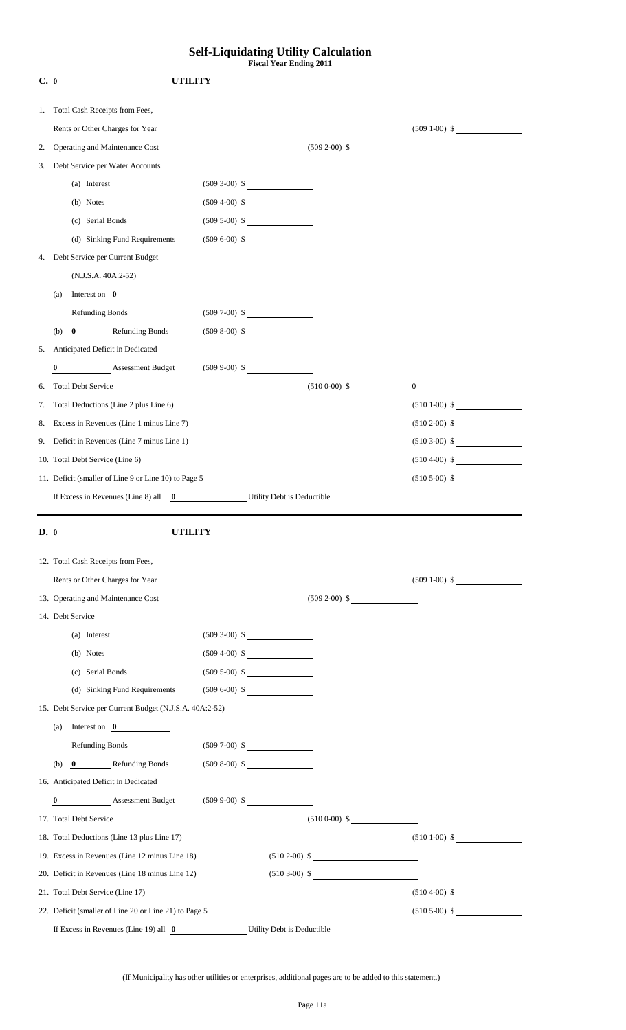#### **Self-Liquidating Utility Calculation Fiscal Year Ending 2011**

| C. 0 | <b>UTILITY</b>                                                                  |                   |                   |                  |
|------|---------------------------------------------------------------------------------|-------------------|-------------------|------------------|
|      |                                                                                 |                   |                   |                  |
| 1.   | Total Cash Receipts from Fees,<br>Rents or Other Charges for Year               |                   |                   |                  |
|      | Operating and Maintenance Cost                                                  |                   |                   | $(509 1-00)$ \$  |
| 2.   | Debt Service per Water Accounts                                                 |                   | $(509\ 2-00)\$ \$ |                  |
| 3.   |                                                                                 |                   |                   |                  |
|      | (a) Interest                                                                    | $(509 3-00)$ \$   |                   |                  |
|      | (b) Notes                                                                       | $(509\ 4-00) \$   |                   |                  |
|      | (c) Serial Bonds                                                                | $(509 5-00)$ \$   |                   |                  |
|      | (d) Sinking Fund Requirements                                                   | $(509 6-00)$ \$   |                   |                  |
| 4.   | Debt Service per Current Budget                                                 |                   |                   |                  |
|      | $(N.J.S.A. 40A:2-52)$                                                           |                   |                   |                  |
|      | Interest on $\theta$<br>(a)                                                     |                   |                   |                  |
|      | <b>Refunding Bonds</b>                                                          | $(509\ 7-00)\$ \$ |                   |                  |
|      | 0 Refunding Bonds<br>(b)                                                        | $(509 8-00)$ \$   |                   |                  |
| 5.   | Anticipated Deficit in Dedicated                                                |                   |                   |                  |
|      | <b>Assessment Budget</b><br>$\bf{0}$                                            | $(509\,9-00)\$ \$ |                   |                  |
| 6.   | <b>Total Debt Service</b>                                                       |                   | $(5100-00)$ \$    | $\boldsymbol{0}$ |
| 7.   | Total Deductions (Line 2 plus Line 6)                                           |                   |                   | $(5101-00)$ \$   |
| 8.   | Excess in Revenues (Line 1 minus Line 7)                                        |                   |                   | $(510\ 2-00) \$  |
| 9.   | Deficit in Revenues (Line 7 minus Line 1)                                       |                   |                   | $(5103-00)$ \$   |
|      | 10. Total Debt Service (Line 6)                                                 |                   |                   | $(510\,4-00)$ \$ |
|      | 11. Deficit (smaller of Line 9 or Line 10) to Page 5                            |                   |                   | $(5105-00)$ \$   |
|      | If Excess in Revenues (Line 8) all $\qquad \qquad 0$ Utility Debt is Deductible |                   |                   |                  |
|      |                                                                                 |                   |                   |                  |
| D. 0 | <b>UTILITY</b>                                                                  |                   |                   |                  |
|      | 12. Total Cash Receipts from Fees,                                              |                   |                   |                  |
|      | Rents or Other Charges for Year                                                 |                   |                   | $(509 1-00)$ \$  |
|      | 13. Operating and Maintenance Cost                                              |                   | $(509 2-00)$ \$   |                  |
|      | 14. Debt Service                                                                |                   |                   |                  |
|      | (a) Interest                                                                    | $(509 3-00)$ \$   |                   |                  |
|      | (b) Notes                                                                       | $(509\ 4-00) \$   |                   |                  |
|      | (c) Serial Bonds                                                                | $(509 5-00)$ \$   |                   |                  |
|      | (d) Sinking Fund Requirements $(509 6-00)$ \$                                   |                   |                   |                  |
|      | 15. Debt Service per Current Budget (N.J.S.A. 40A:2-52)                         |                   |                   |                  |
|      | Interest on $\theta$<br>(a)                                                     |                   |                   |                  |
|      | <b>Refunding Bonds</b>                                                          | $(509\ 7-00)\$ \$ |                   |                  |
|      |                                                                                 |                   |                   |                  |
|      | (b) $\boxed{0}$ Refunding Bonds (509 8-00) \$                                   |                   |                   |                  |
|      | 16. Anticipated Deficit in Dedicated                                            |                   |                   |                  |
|      | Assessment Budget (509 9-00) \$<br>$\bf{0}$                                     |                   |                   |                  |
|      | 17. Total Debt Service                                                          |                   | $(5100-00)$ \$    |                  |
|      | 18. Total Deductions (Line 13 plus Line 17)                                     |                   |                   | $(5101-00)$ \$   |
|      | 19. Excess in Revenues (Line 12 minus Line 18)                                  |                   | $(510\ 2-00) \$   |                  |
|      | 20. Deficit in Revenues (Line 18 minus Line 12)                                 |                   | $(510\ 3-00)\$ \$ |                  |
|      |                                                                                 |                   |                   |                  |
|      | 21. Total Debt Service (Line 17)                                                |                   |                   | $(510\ 4-00)$ \$ |
|      | 22. Deficit (smaller of Line 20 or Line 21) to Page 5                           |                   |                   | $(5105-00)$ \$   |